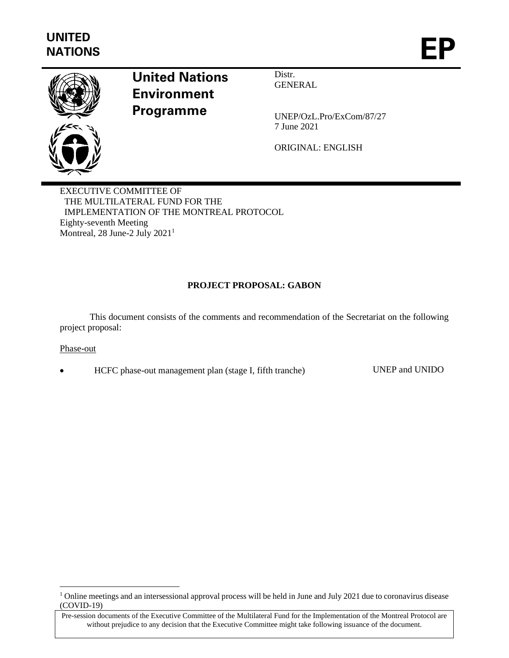

# **United Nations Environment Programme**

Distr. GENERAL

UNEP/OzL.Pro/ExCom/87/27 7 June 2021

ORIGINAL: ENGLISH

EXECUTIVE COMMITTEE OF THE MULTILATERAL FUND FOR THE IMPLEMENTATION OF THE MONTREAL PROTOCOL Eighty-seventh Meeting Montreal, 28 June-2 July 2021<sup>1</sup>

# **PROJECT PROPOSAL: GABON**

This document consists of the comments and recommendation of the Secretariat on the following project proposal:

# Phase-out

• HCFC phase-out management plan (stage I, fifth tranche) UNEP and UNIDO

<sup>&</sup>lt;sup>1</sup> Online meetings and an intersessional approval process will be held in June and July 2021 due to coronavirus disease (COVID-19)

Pre-session documents of the Executive Committee of the Multilateral Fund for the Implementation of the Montreal Protocol are without prejudice to any decision that the Executive Committee might take following issuance of the document.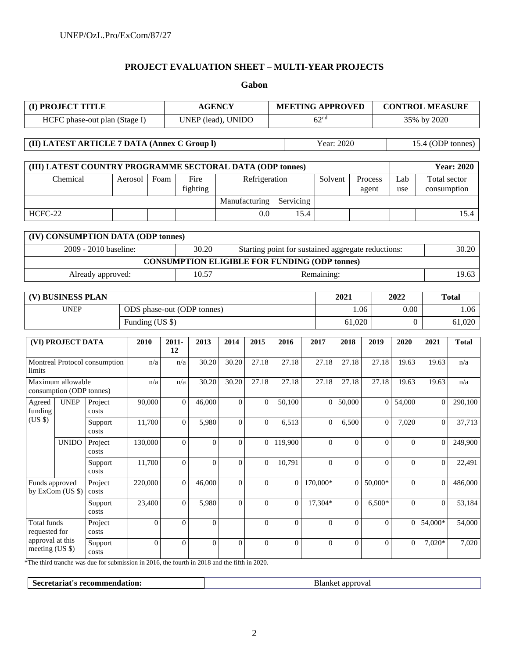# **PROJECT EVALUATION SHEET – MULTI-YEAR PROJECTS**

**Gabon**

| (I) PROJECT TITLE                                |                                               |                   |                                                           | <b>AGENCY</b>              |                                                             |                  |                  | <b>MEETING APPROVED</b> |                                                      |              |                  |                  | <b>CONTROL MEASURE</b> |                  |                             |                   |
|--------------------------------------------------|-----------------------------------------------|-------------------|-----------------------------------------------------------|----------------------------|-------------------------------------------------------------|------------------|------------------|-------------------------|------------------------------------------------------|--------------|------------------|------------------|------------------------|------------------|-----------------------------|-------------------|
| HCFC phase-out plan (Stage I)                    |                                               |                   |                                                           |                            | UNEP (lead), UNIDO                                          |                  |                  | 62 <sup>nd</sup>        |                                                      |              |                  |                  | 35% by 2020            |                  |                             |                   |
| (II) LATEST ARTICLE 7 DATA (Annex C Group I)     |                                               |                   |                                                           |                            |                                                             |                  |                  |                         |                                                      |              | Year: 2020       |                  | 15.4 (ODP tonnes)      |                  |                             |                   |
|                                                  |                                               |                   | (III) LATEST COUNTRY PROGRAMME SECTORAL DATA (ODP tonnes) |                            |                                                             |                  |                  |                         |                                                      |              |                  |                  |                        |                  |                             | <b>Year: 2020</b> |
| Chemical                                         |                                               | Aerosol           | Foam                                                      | Fire<br>fighting           |                                                             | Refrigeration    |                  |                         |                                                      | Solvent      |                  | Process<br>agent | Lab<br>use             |                  | Total sector<br>consumption |                   |
|                                                  |                                               |                   |                                                           |                            |                                                             |                  | Manufacturing    |                         | Servicing                                            |              |                  |                  |                        |                  |                             |                   |
| HCFC-22                                          |                                               |                   |                                                           |                            |                                                             |                  |                  | 0.0                     |                                                      | 15.4         |                  |                  |                        |                  |                             | 15.4              |
|                                                  |                                               |                   | (IV) CONSUMPTION DATA (ODP tonnes)                        |                            |                                                             |                  |                  |                         |                                                      |              |                  |                  |                        |                  |                             |                   |
| 2009 - 2010 baseline:                            |                                               |                   |                                                           |                            | 30.20<br>Starting point for sustained aggregate reductions: |                  |                  |                         |                                                      |              |                  |                  | 30.20                  |                  |                             |                   |
|                                                  |                                               |                   |                                                           |                            |                                                             |                  |                  |                         | <b>CONSUMPTION ELIGIBLE FOR FUNDING (ODP tonnes)</b> |              |                  |                  |                        |                  |                             |                   |
|                                                  |                                               | Already approved: |                                                           |                            |                                                             | 10.57            |                  |                         |                                                      | Remaining:   |                  |                  |                        |                  |                             | 19.63             |
|                                                  | (V) BUSINESS PLAN                             |                   |                                                           |                            |                                                             |                  |                  |                         | 2021                                                 |              |                  |                  | 2022                   | <b>Total</b>     |                             |                   |
| <b>UNEP</b>                                      |                                               |                   |                                                           | ODS phase-out (ODP tonnes) |                                                             |                  |                  |                         |                                                      | 1.06<br>0.00 |                  |                  |                        | 1.06             |                             |                   |
|                                                  |                                               |                   |                                                           | Funding (US \$)            |                                                             |                  |                  |                         | 61,020<br>$\Omega$                                   |              |                  |                  | 61,020                 |                  |                             |                   |
| (VI) PROJECT DATA                                |                                               | 2010              |                                                           | $2011 -$<br>12             | 2013                                                        | 2014             | 2015             | 2016                    | 2017                                                 |              | 2018             | 2019             | 2020                   | 2021             | <b>Total</b>                |                   |
| Montreal Protocol consumption<br>limits          |                                               |                   |                                                           |                            |                                                             |                  |                  |                         |                                                      |              |                  |                  |                        |                  |                             |                   |
|                                                  |                                               |                   |                                                           | n/a                        | n/a                                                         | 30.20            | 30.20            | 27.18                   | 27.18                                                |              | 27.18            | 27.18            | 27.18                  | 19.63            | 19.63                       | n/a               |
|                                                  | Maximum allowable<br>consumption (ODP tonnes) |                   |                                                           | n/a                        | n/a                                                         | 30.20            | 30.20            | 27.18                   | 27.18                                                |              | 27.18            | 27.18            | 27.18                  | 19.63            | 19.63                       | n/a               |
| Agreed<br>funding                                | <b>UNEP</b>                                   | Project<br>costs  | 90,000                                                    |                            | $\mathbf{0}$                                                | 46,000           | $\overline{0}$   | $\theta$                | 50,100                                               |              | $\overline{0}$   | 50,000           | $\mathbf{0}$           | 54,000           | $\mathbf{0}$                | 290,100           |
| (US \$)                                          |                                               | Support<br>costs  | 11,700                                                    |                            | $\Omega$                                                    | 5,980            | $\overline{0}$   | $\overline{0}$          | 6,513                                                |              | $\overline{0}$   | 6,500            | $\overline{0}$         | 7,020            | $\overline{0}$              | 37,713            |
|                                                  | <b>UNIDO</b>                                  | Project<br>costs  | 130,000                                                   |                            | $\overline{0}$                                              | $\overline{0}$   | $\theta$         | $\overline{0}$          | 119,900                                              |              | $\Omega$         | $\overline{0}$   | $\theta$               | $\Omega$         | $\overline{0}$              | 249,900           |
|                                                  |                                               | Support<br>costs  | 11,700                                                    |                            | $\boldsymbol{0}$                                            | $\boldsymbol{0}$ | $\boldsymbol{0}$ | $\overline{0}$          | 10,791                                               |              | $\mathbf{0}$     | $\boldsymbol{0}$ | $\overline{0}$         | $\boldsymbol{0}$ | $\mathbf{0}$                | 22,491            |
| Funds approved                                   | by ExCom (US \$)                              | Project<br>costs  | 220,000                                                   |                            | $\mathbf{0}$                                                | 46,000           | $\theta$         | $\Omega$                | $\Omega$                                             | 170,000*     |                  | $\theta$         | 50,000*                | $\Omega$         | $\Omega$                    | 486,000           |
|                                                  |                                               | Support<br>costs  | 23,400                                                    |                            | $\mathbf{0}$                                                | 5,980            | $\theta$         | $\Omega$                | $\overline{0}$                                       | 17,304*      |                  | $\overline{0}$   | $6,500*$               | $\Omega$         | $\overline{0}$              | 53,184            |
| Total funds<br>requested for<br>approval at this |                                               | Project<br>costs  |                                                           | $\overline{0}$             | $\mathbf{0}$                                                | $\mathbf{0}$     |                  | $\overline{0}$          | $\overline{0}$                                       |              | $\boldsymbol{0}$ | $\overline{0}$   | $\Omega$               | $\Omega$         | $54,000*$                   | 54,000            |

\*The third tranche was due for submission in 2016, the fourth in 2018 and the fifth in 2020.

**Secretariat's recommendation:** Blanket approval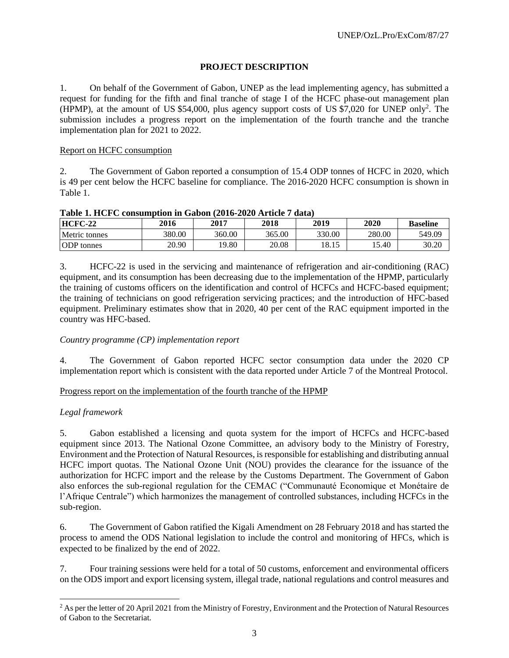# **PROJECT DESCRIPTION**

1. On behalf of the Government of Gabon, UNEP as the lead implementing agency, has submitted a request for funding for the fifth and final tranche of stage I of the HCFC phase-out management plan (HPMP), at the amount of US \$54,000, plus agency support costs of US \$7,020 for UNEP only<sup>2</sup> . The submission includes a progress report on the implementation of the fourth tranche and the tranche implementation plan for 2021 to 2022.

# Report on HCFC consumption

2. The Government of Gabon reported a consumption of 15.4 ODP tonnes of HCFC in 2020, which is 49 per cent below the HCFC baseline for compliance. The 2016-2020 HCFC consumption is shown in Table 1.

| Tapic 1, 1101 O Consumption in Gabon (2010–2020 In tick / Gata) |        |        |        |        |        |                 |  |  |
|-----------------------------------------------------------------|--------|--------|--------|--------|--------|-----------------|--|--|
| <b>HCFC-22</b>                                                  | 2016   | 2017   | 2018   | 2019   | 2020   | <b>Baseline</b> |  |  |
| Metric tonnes                                                   | 380.00 | 360.00 | 365.00 | 330.00 | 280.00 | 549.09          |  |  |
| <b>ODP</b> tonnes                                               | 20.90  | 19.80  | 20.08  | 18.15  | .5.40  | 30.20           |  |  |

**Table 1. HCFC consumption in Gabon (2016-2020 Article 7 data)**

3. HCFC-22 is used in the servicing and maintenance of refrigeration and air-conditioning (RAC) equipment, and its consumption has been decreasing due to the implementation of the HPMP, particularly the training of customs officers on the identification and control of HCFCs and HCFC-based equipment; the training of technicians on good refrigeration servicing practices; and the introduction of HFC-based equipment. Preliminary estimates show that in 2020, 40 per cent of the RAC equipment imported in the country was HFC-based.

# *Country programme (CP) implementation report*

4. The Government of Gabon reported HCFC sector consumption data under the 2020 CP implementation report which is consistent with the data reported under Article 7 of the Montreal Protocol.

Progress report on the implementation of the fourth tranche of the HPMP

# *Legal framework*

5. Gabon established a licensing and quota system for the import of HCFCs and HCFC-based equipment since 2013. The National Ozone Committee, an advisory body to the Ministry of Forestry, Environment and the Protection of Natural Resources, is responsible for establishing and distributing annual HCFC import quotas. The National Ozone Unit (NOU) provides the clearance for the issuance of the authorization for HCFC import and the release by the Customs Department. The Government of Gabon also enforces the sub-regional regulation for the CEMAC ("Communauté Economique et Monétaire de l'Afrique Centrale") which harmonizes the management of controlled substances, including HCFCs in the sub-region.

6. The Government of Gabon ratified the Kigali Amendment on 28 February 2018 and has started the process to amend the ODS National legislation to include the control and monitoring of HFCs, which is expected to be finalized by the end of 2022.

7. Four training sessions were held for a total of 50 customs, enforcement and environmental officers on the ODS import and export licensing system, illegal trade, national regulations and control measures and

 $2$  As per the letter of 20 April 2021 from the Ministry of Forestry, Environment and the Protection of Natural Resources of Gabon to the Secretariat.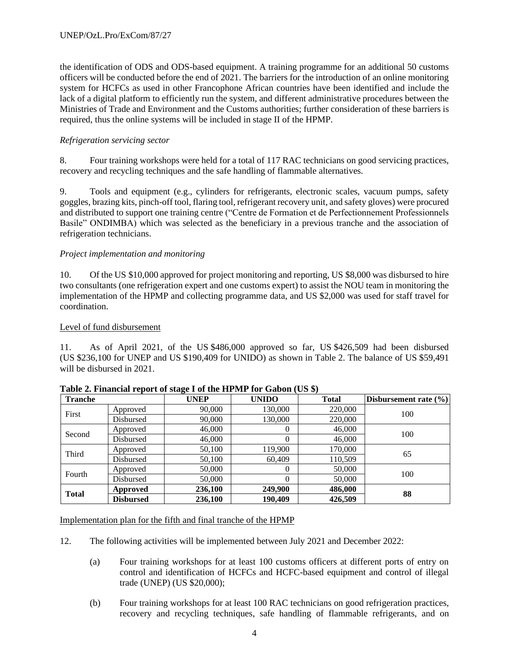the identification of ODS and ODS-based equipment. A training programme for an additional 50 customs officers will be conducted before the end of 2021. The barriers for the introduction of an online monitoring system for HCFCs as used in other Francophone African countries have been identified and include the lack of a digital platform to efficiently run the system, and different administrative procedures between the Ministries of Trade and Environment and the Customs authorities; further consideration of these barriers is required, thus the online systems will be included in stage II of the HPMP.

# *Refrigeration servicing sector*

8. Four training workshops were held for a total of 117 RAC technicians on good servicing practices, recovery and recycling techniques and the safe handling of flammable alternatives.

9. Tools and equipment (e.g., cylinders for refrigerants, electronic scales, vacuum pumps, safety goggles, brazing kits, pinch-off tool, flaring tool, refrigerant recovery unit, and safety gloves) were procured and distributed to support one training centre ("Centre de Formation et de Perfectionnement Professionnels Basile" ONDIMBA) which was selected as the beneficiary in a previous tranche and the association of refrigeration technicians.

# *Project implementation and monitoring*

10. Of the US \$10,000 approved for project monitoring and reporting, US \$8,000 was disbursed to hire two consultants (one refrigeration expert and one customs expert) to assist the NOU team in monitoring the implementation of the HPMP and collecting programme data, and US \$2,000 was used for staff travel for coordination.

#### Level of fund disbursement

11. As of April 2021, of the US \$486,000 approved so far, US \$426,509 had been disbursed (US \$236,100 for UNEP and US \$190,409 for UNIDO) as shown in Table 2. The balance of US \$59,491 will be disbursed in 2021.

| <b>Tranche</b> |                  | <b>UNEP</b> | <b>UNIDO</b> | <b>Total</b> | Disbursement rate $(\% )$ |  |
|----------------|------------------|-------------|--------------|--------------|---------------------------|--|
| First          | Approved         | 90,000      | 130,000      | 220,000      | 100                       |  |
|                | Disbursed        | 90,000      | 130,000      | 220,000      |                           |  |
| Second         | Approved         | 46,000      | 0            | 46,000       | 100                       |  |
|                | Disbursed        | 46,000      | 0            | 46,000       |                           |  |
| Third          | Approved         | 50,100      | 119,900      | 170,000      | 65                        |  |
|                | Disbursed        | 50,100      | 60,409       | 110,509      |                           |  |
| Fourth         | Approved         | 50,000      | $_{0}$       | 50,000       | 100                       |  |
|                | Disbursed        | 50,000      | 0            | 50,000       |                           |  |
|                | Approved         | 236,100     | 249,900      | 486,000      |                           |  |
| <b>Total</b>   | <b>Disbursed</b> | 236,100     | 190.409      | 426,509      | 88                        |  |

**Table 2. Financial report of stage I of the HPMP for Gabon (US \$)**

Implementation plan for the fifth and final tranche of the HPMP

- 12. The following activities will be implemented between July 2021 and December 2022:
	- (a) Four training workshops for at least 100 customs officers at different ports of entry on control and identification of HCFCs and HCFC-based equipment and control of illegal trade (UNEP) (US \$20,000);
	- (b) Four training workshops for at least 100 RAC technicians on good refrigeration practices, recovery and recycling techniques, safe handling of flammable refrigerants, and on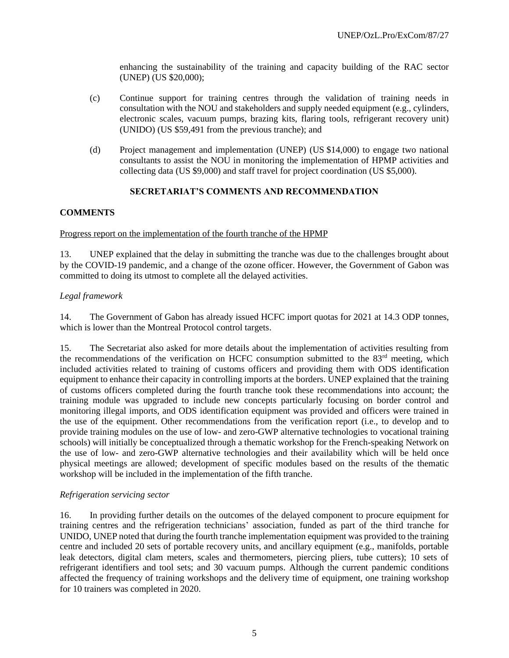enhancing the sustainability of the training and capacity building of the RAC sector (UNEP) (US \$20,000);

- (c) Continue support for training centres through the validation of training needs in consultation with the NOU and stakeholders and supply needed equipment (e.g., cylinders, electronic scales, vacuum pumps, brazing kits, flaring tools, refrigerant recovery unit) (UNIDO) (US \$59,491 from the previous tranche); and
- (d) Project management and implementation (UNEP) (US \$14,000) to engage two national consultants to assist the NOU in monitoring the implementation of HPMP activities and collecting data (US \$9,000) and staff travel for project coordination (US \$5,000).

# **SECRETARIAT'S COMMENTS AND RECOMMENDATION**

# **COMMENTS**

#### Progress report on the implementation of the fourth tranche of the HPMP

13. UNEP explained that the delay in submitting the tranche was due to the challenges brought about by the COVID-19 pandemic, and a change of the ozone officer. However, the Government of Gabon was committed to doing its utmost to complete all the delayed activities.

# *Legal framework*

14. The Government of Gabon has already issued HCFC import quotas for 2021 at 14.3 ODP tonnes, which is lower than the Montreal Protocol control targets.

15. The Secretariat also asked for more details about the implementation of activities resulting from the recommendations of the verification on HCFC consumption submitted to the 83rd meeting, which included activities related to training of customs officers and providing them with ODS identification equipment to enhance their capacity in controlling imports at the borders. UNEP explained that the training of customs officers completed during the fourth tranche took these recommendations into account; the training module was upgraded to include new concepts particularly focusing on border control and monitoring illegal imports, and ODS identification equipment was provided and officers were trained in the use of the equipment. Other recommendations from the verification report (i.e., to develop and to provide training modules on the use of low- and zero-GWP alternative technologies to vocational training schools) will initially be conceptualized through a thematic workshop for the French-speaking Network on the use of low- and zero-GWP alternative technologies and their availability which will be held once physical meetings are allowed; development of specific modules based on the results of the thematic workshop will be included in the implementation of the fifth tranche.

# *Refrigeration servicing sector*

16. In providing further details on the outcomes of the delayed component to procure equipment for training centres and the refrigeration technicians' association, funded as part of the third tranche for UNIDO, UNEP noted that during the fourth tranche implementation equipment was provided to the training centre and included 20 sets of portable recovery units, and ancillary equipment (e.g., manifolds, portable leak detectors, digital clam meters, scales and thermometers, piercing pliers, tube cutters); 10 sets of refrigerant identifiers and tool sets; and 30 vacuum pumps. Although the current pandemic conditions affected the frequency of training workshops and the delivery time of equipment, one training workshop for 10 trainers was completed in 2020.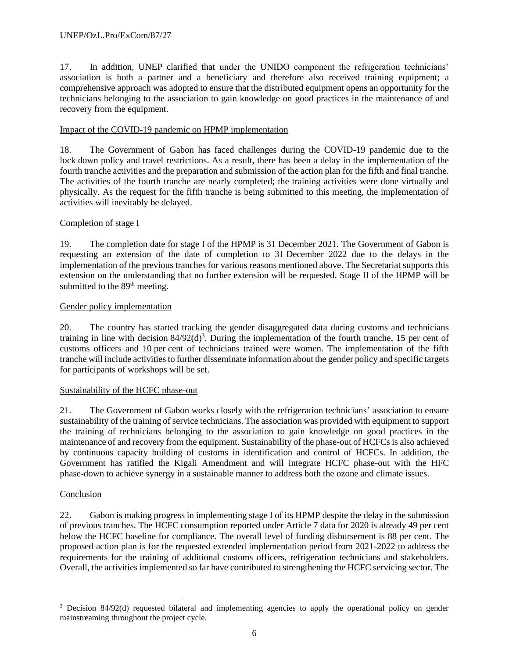17. In addition, UNEP clarified that under the UNIDO component the refrigeration technicians' association is both a partner and a beneficiary and therefore also received training equipment; a comprehensive approach was adopted to ensure that the distributed equipment opens an opportunity for the technicians belonging to the association to gain knowledge on good practices in the maintenance of and recovery from the equipment.

# Impact of the COVID-19 pandemic on HPMP implementation

18. The Government of Gabon has faced challenges during the COVID-19 pandemic due to the lock down policy and travel restrictions. As a result, there has been a delay in the implementation of the fourth tranche activities and the preparation and submission of the action plan for the fifth and final tranche. The activities of the fourth tranche are nearly completed; the training activities were done virtually and physically. As the request for the fifth tranche is being submitted to this meeting, the implementation of activities will inevitably be delayed.

# Completion of stage I

19. The completion date for stage I of the HPMP is 31 December 2021. The Government of Gabon is requesting an extension of the date of completion to 31 December 2022 due to the delays in the implementation of the previous tranches for various reasons mentioned above. The Secretariat supports this extension on the understanding that no further extension will be requested. Stage II of the HPMP will be submitted to the 89<sup>th</sup> meeting.

# Gender policy implementation

20. The country has started tracking the gender disaggregated data during customs and technicians training in line with decision  $84/92(d)^3$ . During the implementation of the fourth tranche, 15 per cent of customs officers and 10 per cent of technicians trained were women. The implementation of the fifth tranche will include activities to further disseminate information about the gender policy and specific targets for participants of workshops will be set.

# Sustainability of the HCFC phase-out

21. The Government of Gabon works closely with the refrigeration technicians' association to ensure sustainability of the training of service technicians. The association was provided with equipment to support the training of technicians belonging to the association to gain knowledge on good practices in the maintenance of and recovery from the equipment. Sustainability of the phase-out of HCFCs is also achieved by continuous capacity building of customs in identification and control of HCFCs. In addition, the Government has ratified the Kigali Amendment and will integrate HCFC phase-out with the HFC phase-down to achieve synergy in a sustainable manner to address both the ozone and climate issues.

# Conclusion

22. Gabon is making progress in implementing stage I of its HPMP despite the delay in the submission of previous tranches. The HCFC consumption reported under Article 7 data for 2020 is already 49 per cent below the HCFC baseline for compliance. The overall level of funding disbursement is 88 per cent. The proposed action plan is for the requested extended implementation period from 2021-2022 to address the requirements for the training of additional customs officers, refrigeration technicians and stakeholders. Overall, the activities implemented so far have contributed to strengthening the HCFC servicing sector. The

<sup>&</sup>lt;sup>3</sup> Decision 84/92(d) requested bilateral and implementing agencies to apply the operational policy on gender mainstreaming throughout the project cycle.